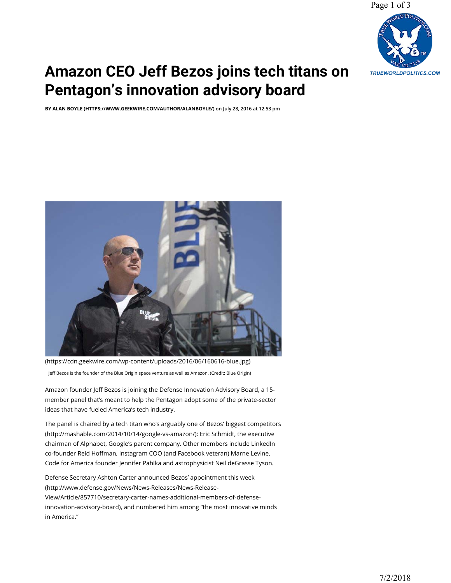Page 1 of 3



## **[Amazon CEO Jeff Bezos joins tech titans on](https://www.geekwire.com/2016/amazon-jeff-bezos-defense-innovation-advisory-board/)  Pentagon's innovation advisory board**

**BY ALAN BOYLE (HTTPS://WWW.GEEKWIRE.COM/AUTHOR/ALANBOYLE/) on July 28, 2016 at 12:53 pm**



(https://cdn.geekwire.com/wp-content/uploads/2016/06/160616-blue.jpg) Jeff Bezos is the founder of the Blue Origin space venture as well as Amazon. (Credit: Blue Origin)

Amazon founder Jeff Bezos is joining the Defense Innovation Advisory Board, a 15member panel that's meant to help the Pentagon adopt some of the private-sector ideas that have fueled America's tech industry.

The panel is chaired by a tech titan who's arguably one of Bezos' biggest competitors (http://mashable.com/2014/10/14/google-vs-amazon/): Eric Schmidt, the executive chairman of Alphabet, Google's parent company. Other members include LinkedIn co-founder Reid Hoffman, Instagram COO (and Facebook veteran) Marne Levine, Code for America founder Jennifer Pahlka and astrophysicist Neil deGrasse Tyson.

Defense Secretary Ashton Carter announced Bezos' appointment this week (http://www.defense.gov/News/News-Releases/News-Release-View/Article/857710/secretary-carter-names-additional-members-of-defenseinnovation-advisory-board), and numbered him among "the most innovative minds in America."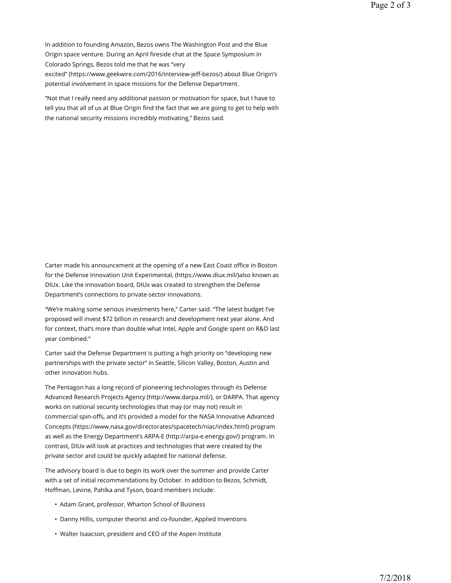"Not that I really need any additional passion or motivation for space, but I have to tell you that all of us at Blue Origin find the fact that we are going to get to help with the national security missions incredibly motivating," Bezos said.

Carter made his announcement at the opening of a new East Coast office in Boston for the Defense Innovation Unit Experimental, (https://www.diux.mil/)also known as DIUx. Like the innovation board, DIUx was created to strengthen the Defense Department's connections to private-sector innovations.

"We're making some serious investments here," Carter said. "The latest budget I've proposed will invest \$72 billion in research and development next year alone. And for context, that's more than double what Intel, Apple and Google spent on R&D last year combined."

Carter said the Defense Department is putting a high priority on "developing new partnerships with the private sector" in Seattle, Silicon Valley, Boston, Austin and other innovation hubs.

The Pentagon has a long record of pioneering technologies through its Defense Advanced Research Projects Agency (http://www.darpa.mil/), or DARPA. That agency works on national security technologies that may (or may not) result in commercial spin-offs, and it's provided a model for the NASA Innovative Advanced Concepts (https://www.nasa.gov/directorates/spacetech/niac/index.html) program as well as the Energy Department's ARPA-E (http://arpa-e.energy.gov/) program. In contrast, DIUx will look at practices and technologies that were created by the private sector and could be quickly adapted for national defense.

The advisory board is due to begin its work over the summer and provide Carter with a set of initial recommendations by October. In addition to Bezos, Schmidt, Hoffman, Levine, Pahlka and Tyson, board members include:

- Adam Grant, professor, Wharton School of Business
- Danny Hillis, computer theorist and co-founder, Applied Inventions
- Walter Isaacson, president and CEO of the Aspen Institute